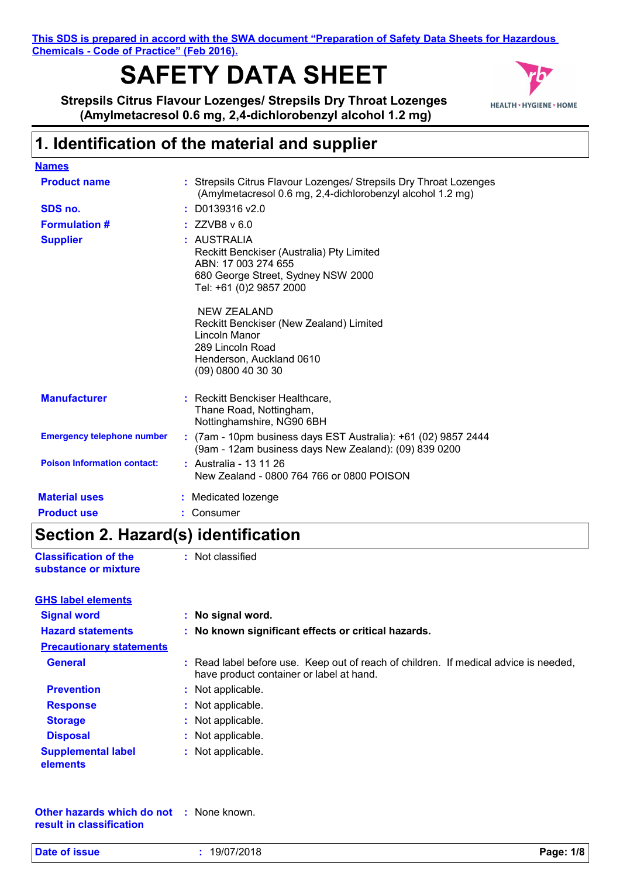**This SDS is prepared in accord with the SWA document "Preparation of Safety Data Sheets for Hazardous Chemicals - Code of Practice" (Feb 2016).**

# **SAFETY DATA SHEET**



**Strepsils Citrus Flavour Lozenges/ Strepsils Dry Throat Lozenges** FREALTH, HYGIENE, HOME  **(Amylmetacresol 0.6 mg, 2,4-dichlorobenzyl alcohol 1.2 mg)**

## **1. Identification of the material and supplier**

| <b>Names</b>                       |                                                                                                                                                      |  |
|------------------------------------|------------------------------------------------------------------------------------------------------------------------------------------------------|--|
| <b>Product name</b>                | : Strepsils Citrus Flavour Lozenges/ Strepsils Dry Throat Lozenges<br>(Amylmetacresol 0.6 mg, 2,4-dichlorobenzyl alcohol 1.2 mg)                     |  |
| SDS no.                            | $: $ D0139316 v2.0                                                                                                                                   |  |
| <b>Formulation #</b>               | $:$ ZZVB8 v 6.0                                                                                                                                      |  |
| <b>Supplier</b>                    | : AUSTRALIA<br>Reckitt Benckiser (Australia) Pty Limited<br>ABN: 17 003 274 655<br>680 George Street, Sydney NSW 2000<br>Tel: +61 (0)2 9857 2000     |  |
|                                    | <b>NEW ZEALAND</b><br>Reckitt Benckiser (New Zealand) Limited<br>Lincoln Manor<br>289 Lincoln Road<br>Henderson, Auckland 0610<br>(09) 0800 40 30 30 |  |
| <b>Manufacturer</b>                | : Reckitt Benckiser Healthcare,<br>Thane Road, Nottingham,<br>Nottinghamshire, NG90 6BH                                                              |  |
| <b>Emergency telephone number</b>  | : (7am - 10pm business days EST Australia): +61 (02) 9857 2444<br>(9am - 12am business days New Zealand): (09) 839 0200                              |  |
| <b>Poison Information contact:</b> | : Australia - 13 11 26<br>New Zealand - 0800 764 766 or 0800 POISON                                                                                  |  |
| <b>Material uses</b>               | : Medicated lozenge                                                                                                                                  |  |
| <b>Product use</b>                 | Consumer                                                                                                                                             |  |
|                                    |                                                                                                                                                      |  |

# **Section 2. Hazard(s) identification**

**Classification of the substance or mixture :**

| <b>GHS label elements</b>             |                                                                                                                                  |
|---------------------------------------|----------------------------------------------------------------------------------------------------------------------------------|
| <b>Signal word</b>                    | : No signal word.                                                                                                                |
| <b>Hazard statements</b>              | : No known significant effects or critical hazards.                                                                              |
| <b>Precautionary statements</b>       |                                                                                                                                  |
| <b>General</b>                        | : Read label before use. Keep out of reach of children. If medical advice is needed,<br>have product container or label at hand. |
| <b>Prevention</b>                     | : Not applicable.                                                                                                                |
| <b>Response</b>                       | : Not applicable.                                                                                                                |
| <b>Storage</b>                        | : Not applicable.                                                                                                                |
| <b>Disposal</b>                       | : Not applicable.                                                                                                                |
| <b>Supplemental label</b><br>elements | : Not applicable.                                                                                                                |

**Other hazards which do not :** None known. **result in classification**

|  | Date of issue |
|--|---------------|
|  |               |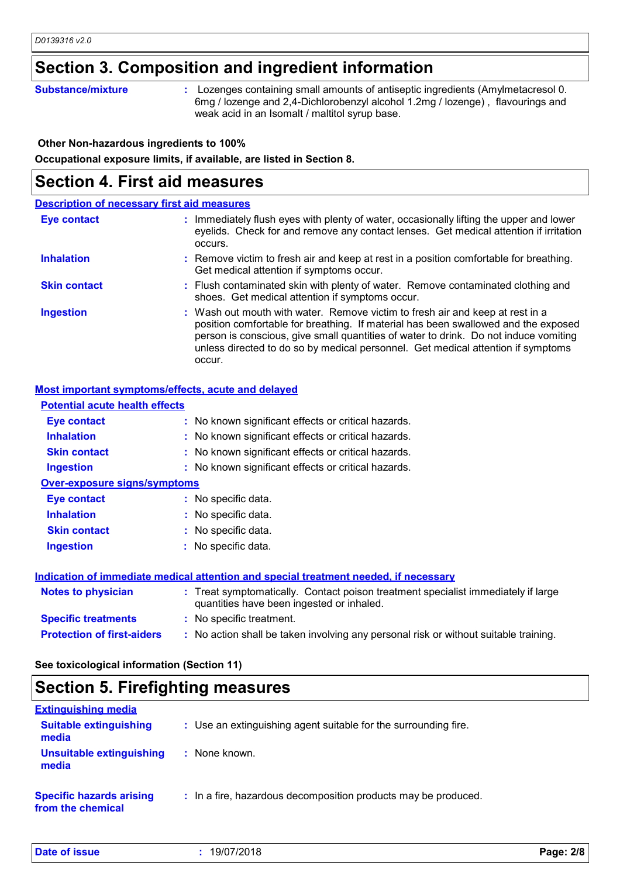## **Section 3. Composition and ingredient information**

#### **Substance/mixture :**

 Lozenges containing small amounts of antiseptic ingredients (Amylmetacresol 0. 6mg / lozenge and 2,4-Dichlorobenzyl alcohol 1.2mg / lozenge) , flavourings and weak acid in an Isomalt / maltitol syrup base.

 **Other Non-hazardous ingredients to 100%**

**Occupational exposure limits, if available, are listed in Section 8.**

## **Section 4. First aid measures**

|                     | <b>Description of necessary first aid measures</b>                                                                                                                                                                                                                                                                                                        |
|---------------------|-----------------------------------------------------------------------------------------------------------------------------------------------------------------------------------------------------------------------------------------------------------------------------------------------------------------------------------------------------------|
| <b>Eye contact</b>  | : Immediately flush eyes with plenty of water, occasionally lifting the upper and lower<br>eyelids. Check for and remove any contact lenses. Get medical attention if irritation<br>occurs.                                                                                                                                                               |
| <b>Inhalation</b>   | : Remove victim to fresh air and keep at rest in a position comfortable for breathing.<br>Get medical attention if symptoms occur.                                                                                                                                                                                                                        |
| <b>Skin contact</b> | : Flush contaminated skin with plenty of water. Remove contaminated clothing and<br>shoes. Get medical attention if symptoms occur.                                                                                                                                                                                                                       |
| <b>Ingestion</b>    | : Wash out mouth with water. Remove victim to fresh air and keep at rest in a<br>position comfortable for breathing. If material has been swallowed and the exposed<br>person is conscious, give small quantities of water to drink. Do not induce vomiting<br>unless directed to do so by medical personnel. Get medical attention if symptoms<br>occur. |

### **Most important symptoms/effects, acute and delayed**

| <b>Potential acute health effects</b> |                                                                                                                                |
|---------------------------------------|--------------------------------------------------------------------------------------------------------------------------------|
| Eye contact                           | : No known significant effects or critical hazards.                                                                            |
| <b>Inhalation</b>                     | : No known significant effects or critical hazards.                                                                            |
| <b>Skin contact</b>                   | : No known significant effects or critical hazards.                                                                            |
| <b>Ingestion</b>                      | : No known significant effects or critical hazards.                                                                            |
| <b>Over-exposure signs/symptoms</b>   |                                                                                                                                |
| Eye contact                           | : No specific data.                                                                                                            |
| <b>Inhalation</b>                     | : No specific data.                                                                                                            |
| <b>Skin contact</b>                   | : No specific data.                                                                                                            |
| <b>Ingestion</b>                      | : No specific data.                                                                                                            |
|                                       | Indication of immediate medical attention and special treatment needed, if necessary                                           |
| <b>Notes to physician</b>             | : Treat symptomatically. Contact poison treatment specialist immediately if large<br>quantities have been ingested or inhaled. |
| <b>Specific treatments</b>            | : No specific treatment.                                                                                                       |
| <b>Protection of first-aiders</b>     | : No action shall be taken involving any personal risk or without suitable training.                                           |

**See toxicological information (Section 11)**

### **Section 5. Firefighting measures**

| <b>Extinguishing media</b>                           |                                                                 |
|------------------------------------------------------|-----------------------------------------------------------------|
| <b>Suitable extinguishing</b><br>media               | : Use an extinguishing agent suitable for the surrounding fire. |
| Unsuitable extinguishing<br>media                    | : None known.                                                   |
| <b>Specific hazards arising</b><br>from the chemical | : In a fire, hazardous decomposition products may be produced.  |

| <b>Date of issue</b> | 19/07/2018 | Page: 2/8 |
|----------------------|------------|-----------|
|----------------------|------------|-----------|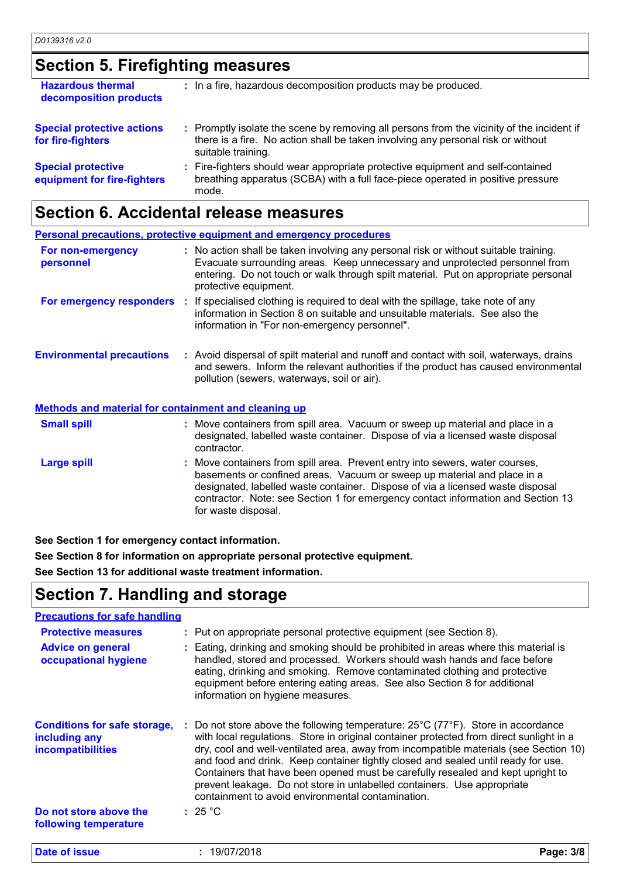# **Section 5. Firefighting measures**

| <b>Hazardous thermal</b><br>decomposition products       | : In a fire, hazardous decomposition products may be produced.                                                                                                                                      |
|----------------------------------------------------------|-----------------------------------------------------------------------------------------------------------------------------------------------------------------------------------------------------|
| <b>Special protective actions</b><br>for fire-fighters   | : Promptly isolate the scene by removing all persons from the vicinity of the incident if<br>there is a fire. No action shall be taken involving any personal risk or without<br>suitable training. |
| <b>Special protective</b><br>equipment for fire-fighters | : Fire-fighters should wear appropriate protective equipment and self-contained<br>breathing apparatus (SCBA) with a full face-piece operated in positive pressure<br>mode.                         |

# **Section 6. Accidental release measures**

| <b>Personal precautions, protective equipment and emergency procedures</b> |  |                                                                                                                                                                                                                                                                                                                                                      |
|----------------------------------------------------------------------------|--|------------------------------------------------------------------------------------------------------------------------------------------------------------------------------------------------------------------------------------------------------------------------------------------------------------------------------------------------------|
| For non-emergency<br>personnel                                             |  | : No action shall be taken involving any personal risk or without suitable training.<br>Evacuate surrounding areas. Keep unnecessary and unprotected personnel from<br>entering. Do not touch or walk through spilt material. Put on appropriate personal<br>protective equipment.                                                                   |
|                                                                            |  | <b>For emergency responders</b> : If specialised clothing is required to deal with the spillage, take note of any<br>information in Section 8 on suitable and unsuitable materials. See also the<br>information in "For non-emergency personnel".                                                                                                    |
| <b>Environmental precautions</b>                                           |  | : Avoid dispersal of spilt material and runoff and contact with soil, waterways, drains<br>and sewers. Inform the relevant authorities if the product has caused environmental<br>pollution (sewers, waterways, soil or air).                                                                                                                        |
| <b>Methods and material for containment and cleaning up</b>                |  |                                                                                                                                                                                                                                                                                                                                                      |
| <b>Small spill</b>                                                         |  | : Move containers from spill area. Vacuum or sweep up material and place in a<br>designated, labelled waste container. Dispose of via a licensed waste disposal<br>contractor.                                                                                                                                                                       |
| <b>Large spill</b>                                                         |  | : Move containers from spill area. Prevent entry into sewers, water courses,<br>basements or confined areas. Vacuum or sweep up material and place in a<br>designated, labelled waste container. Dispose of via a licensed waste disposal<br>contractor. Note: see Section 1 for emergency contact information and Section 13<br>for waste disposal. |

**See Section 1 for emergency contact information.**

**See Section 8 for information on appropriate personal protective equipment. See Section 13 for additional waste treatment information.**

# **Section 7. Handling and storage**

### **Precautions for safe handling**

| <b>Protective measures</b><br><b>Advice on general</b><br>occupational hygiene   | : Put on appropriate personal protective equipment (see Section 8).<br>: Eating, drinking and smoking should be prohibited in areas where this material is<br>handled, stored and processed. Workers should wash hands and face before<br>eating, drinking and smoking. Remove contaminated clothing and protective                                                                                                                                                                                                                                                                               |
|----------------------------------------------------------------------------------|---------------------------------------------------------------------------------------------------------------------------------------------------------------------------------------------------------------------------------------------------------------------------------------------------------------------------------------------------------------------------------------------------------------------------------------------------------------------------------------------------------------------------------------------------------------------------------------------------|
|                                                                                  | equipment before entering eating areas. See also Section 8 for additional<br>information on hygiene measures.                                                                                                                                                                                                                                                                                                                                                                                                                                                                                     |
| <b>Conditions for safe storage,</b><br>including any<br><b>incompatibilities</b> | : Do not store above the following temperature: $25^{\circ}$ C ( $77^{\circ}$ F). Store in accordance<br>with local regulations. Store in original container protected from direct sunlight in a<br>dry, cool and well-ventilated area, away from incompatible materials (see Section 10)<br>and food and drink. Keep container tightly closed and sealed until ready for use.<br>Containers that have been opened must be carefully resealed and kept upright to<br>prevent leakage. Do not store in unlabelled containers. Use appropriate<br>containment to avoid environmental contamination. |
| Do not store above the<br>following temperature                                  | : 25 °C                                                                                                                                                                                                                                                                                                                                                                                                                                                                                                                                                                                           |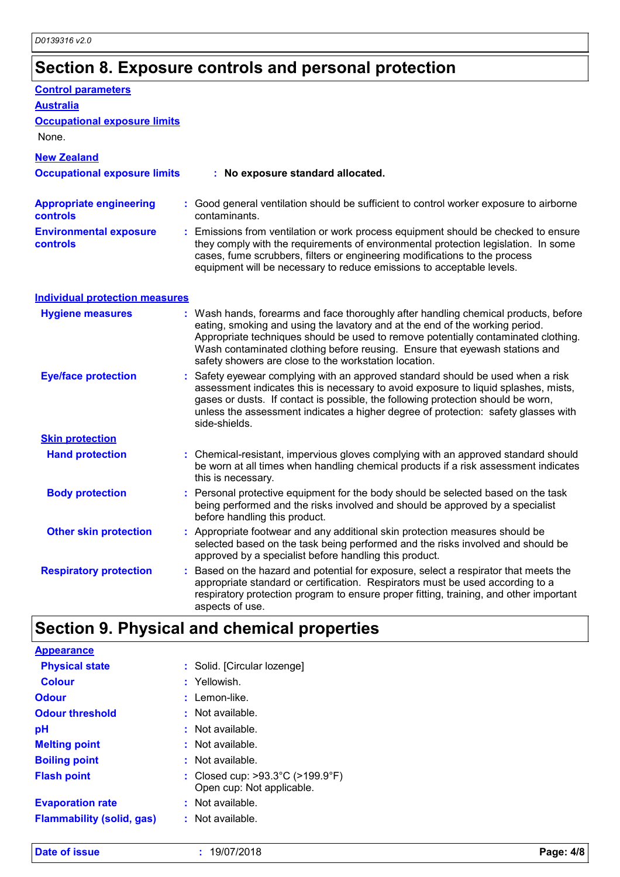# **Section 8. Exposure controls and personal protection**

| <b>Control parameters</b>                         |                                                                                                                                                                                                                                                                                                                                                                                                   |
|---------------------------------------------------|---------------------------------------------------------------------------------------------------------------------------------------------------------------------------------------------------------------------------------------------------------------------------------------------------------------------------------------------------------------------------------------------------|
| <b>Australia</b>                                  |                                                                                                                                                                                                                                                                                                                                                                                                   |
| <b>Occupational exposure limits</b><br>None.      |                                                                                                                                                                                                                                                                                                                                                                                                   |
| <b>New Zealand</b>                                |                                                                                                                                                                                                                                                                                                                                                                                                   |
| <b>Occupational exposure limits</b>               | : No exposure standard allocated.                                                                                                                                                                                                                                                                                                                                                                 |
| <b>Appropriate engineering</b><br><b>controls</b> | : Good general ventilation should be sufficient to control worker exposure to airborne<br>contaminants.                                                                                                                                                                                                                                                                                           |
| <b>Environmental exposure</b><br><b>controls</b>  | : Emissions from ventilation or work process equipment should be checked to ensure<br>they comply with the requirements of environmental protection legislation. In some<br>cases, fume scrubbers, filters or engineering modifications to the process<br>equipment will be necessary to reduce emissions to acceptable levels.                                                                   |
| <b>Individual protection measures</b>             |                                                                                                                                                                                                                                                                                                                                                                                                   |
| <b>Hygiene measures</b>                           | : Wash hands, forearms and face thoroughly after handling chemical products, before<br>eating, smoking and using the lavatory and at the end of the working period.<br>Appropriate techniques should be used to remove potentially contaminated clothing.<br>Wash contaminated clothing before reusing. Ensure that eyewash stations and<br>safety showers are close to the workstation location. |
| <b>Eye/face protection</b>                        | : Safety eyewear complying with an approved standard should be used when a risk<br>assessment indicates this is necessary to avoid exposure to liquid splashes, mists,<br>gases or dusts. If contact is possible, the following protection should be worn,<br>unless the assessment indicates a higher degree of protection: safety glasses with<br>side-shields.                                 |
| <b>Skin protection</b>                            |                                                                                                                                                                                                                                                                                                                                                                                                   |
| <b>Hand protection</b>                            | : Chemical-resistant, impervious gloves complying with an approved standard should<br>be worn at all times when handling chemical products if a risk assessment indicates<br>this is necessary.                                                                                                                                                                                                   |
| <b>Body protection</b>                            | : Personal protective equipment for the body should be selected based on the task<br>being performed and the risks involved and should be approved by a specialist<br>before handling this product.                                                                                                                                                                                               |
| <b>Other skin protection</b>                      | : Appropriate footwear and any additional skin protection measures should be<br>selected based on the task being performed and the risks involved and should be<br>approved by a specialist before handling this product.                                                                                                                                                                         |
| <b>Respiratory protection</b>                     | Based on the hazard and potential for exposure, select a respirator that meets the<br>appropriate standard or certification. Respirators must be used according to a<br>respiratory protection program to ensure proper fitting, training, and other important<br>aspects of use.                                                                                                                 |
|                                                   | Section 9. Physical and chemical properties                                                                                                                                                                                                                                                                                                                                                       |
| <b>Appearance</b>                                 |                                                                                                                                                                                                                                                                                                                                                                                                   |
| <b>Physical state</b>                             | : Solid. [Circular lozenge]                                                                                                                                                                                                                                                                                                                                                                       |
| <b>Colour</b>                                     | Yellowish.                                                                                                                                                                                                                                                                                                                                                                                        |
| <b>Odour</b>                                      | Lemon-like.                                                                                                                                                                                                                                                                                                                                                                                       |
| <b>Odour threshold</b>                            | Not available.                                                                                                                                                                                                                                                                                                                                                                                    |

**pH :** Not available.

**Date of issue :** 19/07/2018 **Page: 4/8**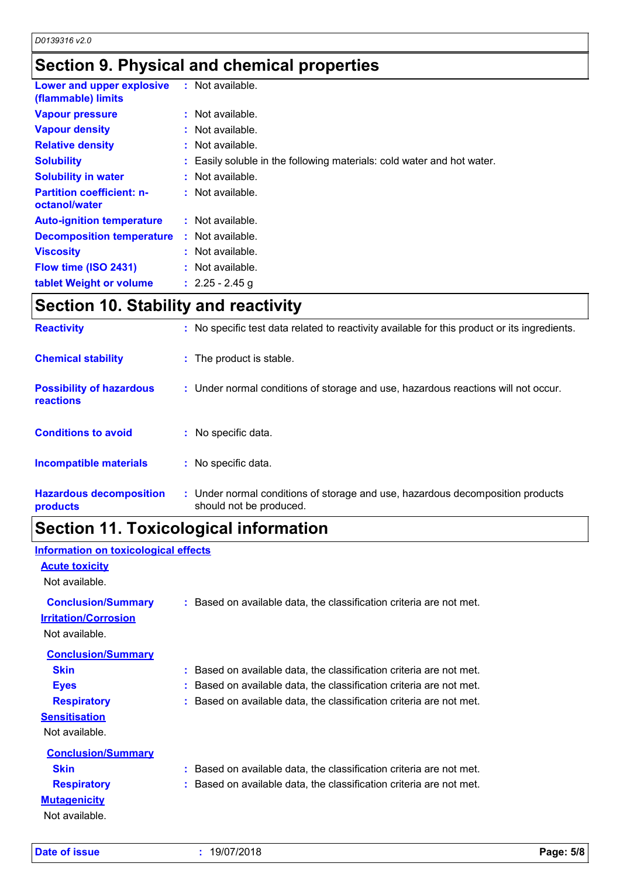# **Section 9. Physical and chemical properties**

| $:$ Not available.                                                     |
|------------------------------------------------------------------------|
| $:$ Not available.                                                     |
| : Not available.                                                       |
| $:$ Not available.                                                     |
| : Easily soluble in the following materials: cold water and hot water. |
| $:$ Not available.                                                     |
| $:$ Not available.                                                     |
| $:$ Not available.                                                     |
| $:$ Not available.                                                     |
| : Not available.                                                       |
| : Not available.                                                       |
| $: 2.25 - 2.45$ g                                                      |
|                                                                        |

# **Section 10. Stability and reactivity**

| <b>Reactivity</b>                            | : No specific test data related to reactivity available for this product or its ingredients.              |
|----------------------------------------------|-----------------------------------------------------------------------------------------------------------|
| <b>Chemical stability</b>                    | : The product is stable.                                                                                  |
| <b>Possibility of hazardous</b><br>reactions | : Under normal conditions of storage and use, hazardous reactions will not occur.                         |
| <b>Conditions to avoid</b>                   | : No specific data.                                                                                       |
| <b>Incompatible materials</b>                | : No specific data.                                                                                       |
| <b>Hazardous decomposition</b><br>products   | : Under normal conditions of storage and use, hazardous decomposition products<br>should not be produced. |

# **Section 11. Toxicological information**

## **Acute toxicity** Not available. **Conclusion/Summary :** Based on available data, the classification criteria are not met. **Irritation/Corrosion** Not available. **Information on toxicological effects**

| <b>Conclusion/Summary</b> |                                                                     |
|---------------------------|---------------------------------------------------------------------|
| <b>Skin</b>               | : Based on available data, the classification criteria are not met. |
| <b>Eyes</b>               | : Based on available data, the classification criteria are not met. |
| <b>Respiratory</b>        | : Based on available data, the classification criteria are not met. |
| Sensitisation             |                                                                     |
| Not available.            |                                                                     |
| <b>Conclusion/Summary</b> |                                                                     |
| <b>Skin</b>               | : Based on available data, the classification criteria are not met. |
| <b>Respiratory</b>        | : Based on available data, the classification criteria are not met. |
| <b>Mutagenicity</b>       |                                                                     |
| Not available.            |                                                                     |

**Date of issue :** 19/07/2018 **Page: 5/8**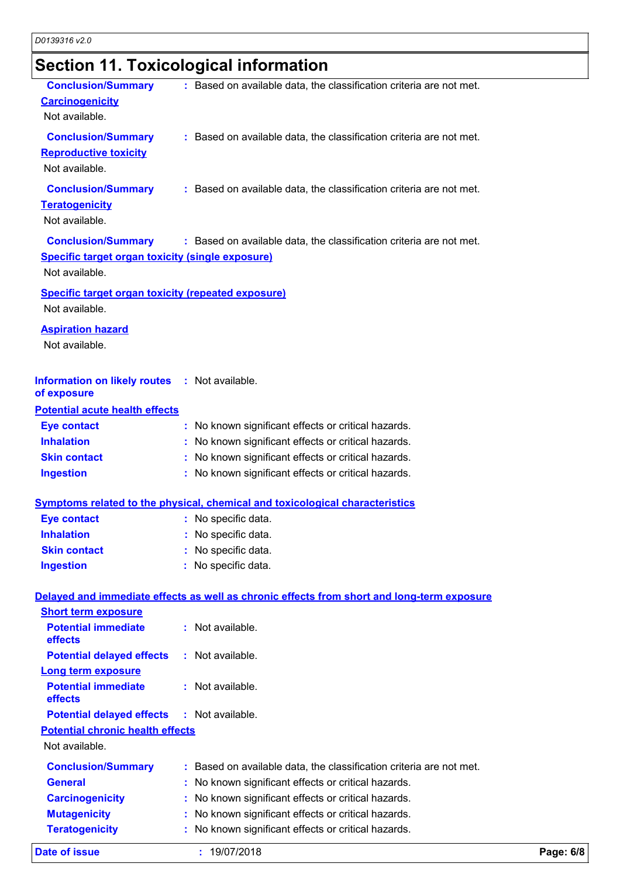# **Section 11. Toxicological information**

| <b>Conclusion/Summary</b>                                 | : Based on available data, the classification criteria are not met.                        |           |
|-----------------------------------------------------------|--------------------------------------------------------------------------------------------|-----------|
| <b>Carcinogenicity</b>                                    |                                                                                            |           |
| Not available.                                            |                                                                                            |           |
| <b>Conclusion/Summary</b>                                 | : Based on available data, the classification criteria are not met.                        |           |
| <b>Reproductive toxicity</b>                              |                                                                                            |           |
| Not available.                                            |                                                                                            |           |
| <b>Conclusion/Summary</b>                                 | : Based on available data, the classification criteria are not met.                        |           |
| <b>Teratogenicity</b>                                     |                                                                                            |           |
| Not available.                                            |                                                                                            |           |
|                                                           |                                                                                            |           |
| <b>Conclusion/Summary</b>                                 | : Based on available data, the classification criteria are not met.                        |           |
| <b>Specific target organ toxicity (single exposure)</b>   |                                                                                            |           |
| Not available.                                            |                                                                                            |           |
| <b>Specific target organ toxicity (repeated exposure)</b> |                                                                                            |           |
| Not available.                                            |                                                                                            |           |
| <b>Aspiration hazard</b>                                  |                                                                                            |           |
| Not available.                                            |                                                                                            |           |
|                                                           |                                                                                            |           |
| <b>Information on likely routes</b>                       | : Not available.                                                                           |           |
| of exposure                                               |                                                                                            |           |
| <b>Potential acute health effects</b>                     |                                                                                            |           |
| <b>Eye contact</b>                                        | : No known significant effects or critical hazards.                                        |           |
| <b>Inhalation</b>                                         | : No known significant effects or critical hazards.                                        |           |
| <b>Skin contact</b>                                       | : No known significant effects or critical hazards.                                        |           |
| <b>Ingestion</b>                                          | : No known significant effects or critical hazards.                                        |           |
|                                                           |                                                                                            |           |
|                                                           | <b>Symptoms related to the physical, chemical and toxicological characteristics</b>        |           |
| <b>Eye contact</b>                                        | : No specific data.                                                                        |           |
| <b>Inhalation</b>                                         | : No specific data.                                                                        |           |
| <b>Skin contact</b>                                       | No specific data.                                                                          |           |
| <b>Ingestion</b>                                          | No specific data.                                                                          |           |
|                                                           | Delayed and immediate effects as well as chronic effects from short and long-term exposure |           |
| <b>Short term exposure</b>                                |                                                                                            |           |
| <b>Potential immediate</b>                                | : Not available.                                                                           |           |
| effects                                                   |                                                                                            |           |
| <b>Potential delayed effects</b>                          | : Not available.                                                                           |           |
| <b>Long term exposure</b>                                 |                                                                                            |           |
| <b>Potential immediate</b><br>effects                     | : Not available.                                                                           |           |
| <b>Potential delayed effects</b>                          | : Not available.                                                                           |           |
| <b>Potential chronic health effects</b>                   |                                                                                            |           |
| Not available.                                            |                                                                                            |           |
| <b>Conclusion/Summary</b>                                 | : Based on available data, the classification criteria are not met.                        |           |
| <b>General</b>                                            | No known significant effects or critical hazards.                                          |           |
| <b>Carcinogenicity</b>                                    | No known significant effects or critical hazards.                                          |           |
| <b>Mutagenicity</b>                                       | No known significant effects or critical hazards.                                          |           |
| <b>Teratogenicity</b>                                     | : No known significant effects or critical hazards.                                        |           |
| <b>Date of issue</b>                                      | : 19/07/2018                                                                               | Page: 6/8 |
|                                                           |                                                                                            |           |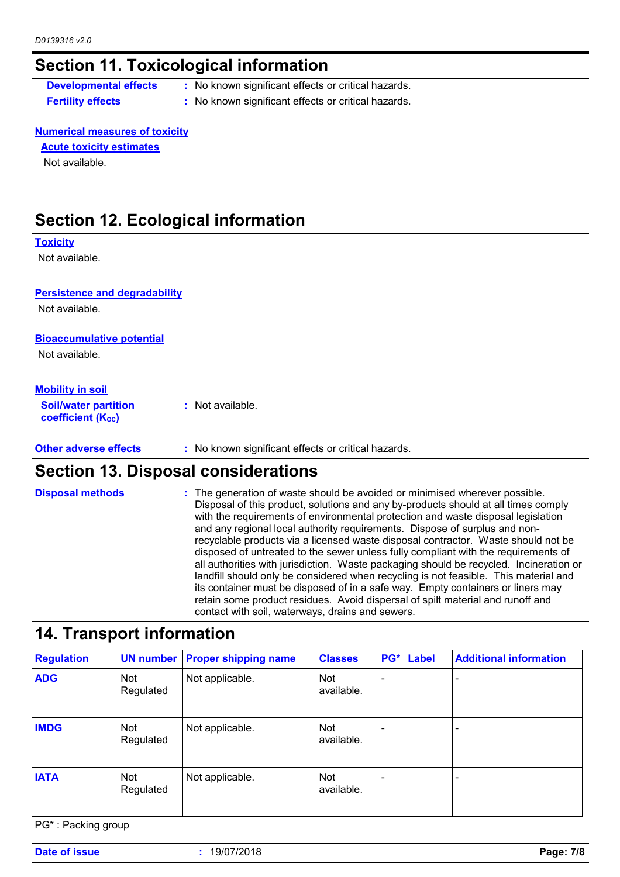## **Section 11. Toxicological information**

**Developmental effects** : No known significant effects or critical hazards.

- 
- **Fertility effects :** No known significant effects or critical hazards.

### **Numerical measures of toxicity**

### **Acute toxicity estimates**

Not available.

# **Section 12. Ecological information**

### **Toxicity**

Not available.

### **Persistence and degradability**

Not available.

### **Bioaccumulative potential**

Not available.

### **Mobility in soil**

| <b>Soil/water partition</b> | : Not available. |
|-----------------------------|------------------|
| <b>coefficient (Koc)</b>    |                  |

**Other adverse effects** : No known significant effects or critical hazards.

### **Section 13. Disposal considerations**

**Disposal methods :**

The generation of waste should be avoided or minimised wherever possible. Disposal of this product, solutions and any by-products should at all times comply with the requirements of environmental protection and waste disposal legislation and any regional local authority requirements. Dispose of surplus and nonrecyclable products via a licensed waste disposal contractor. Waste should not be disposed of untreated to the sewer unless fully compliant with the requirements of all authorities with jurisdiction. Waste packaging should be recycled. Incineration or landfill should only be considered when recycling is not feasible. This material and its container must be disposed of in a safe way. Empty containers or liners may retain some product residues. Avoid dispersal of spilt material and runoff and contact with soil, waterways, drains and sewers.

| 14. Transport information |                         |                             |                          |     |       |                               |
|---------------------------|-------------------------|-----------------------------|--------------------------|-----|-------|-------------------------------|
| <b>Regulation</b>         | <b>UN number</b>        | <b>Proper shipping name</b> | <b>Classes</b>           | PG* | Label | <b>Additional information</b> |
| <b>ADG</b>                | <b>Not</b><br>Regulated | Not applicable.             | <b>Not</b><br>available. | ۰   |       |                               |
| <b>IMDG</b>               | <b>Not</b><br>Regulated | Not applicable.             | <b>Not</b><br>available. |     |       |                               |
| <b>IATA</b>               | Not<br>Regulated        | Not applicable.             | <b>Not</b><br>available. |     |       |                               |

PG\* : Packing group

**Date of issue :** 19/07/2018 **Page: 7/8**